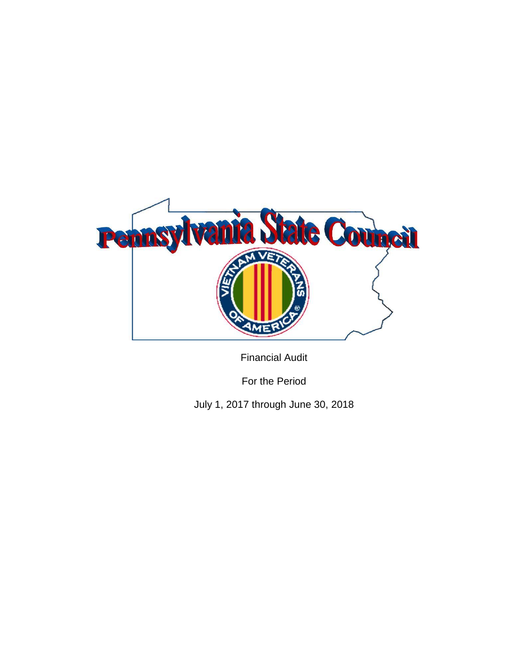

Financial Audit

For the Period

July 1, 2017 through June 30, 2018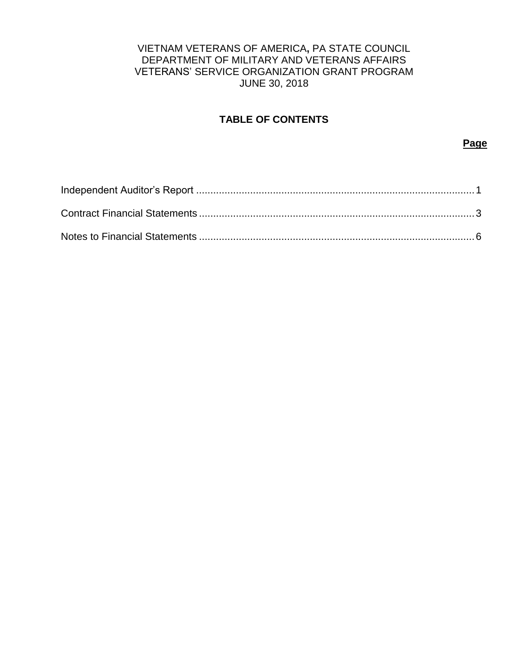## VIETNAM VETERANS OF AMERICA**,** PA STATE COUNCIL DEPARTMENT OF MILITARY AND VETERANS AFFAIRS VETERANS' SERVICE ORGANIZATION GRANT PROGRAM JUNE 30, 2018

# **TABLE OF CONTENTS**

**Page**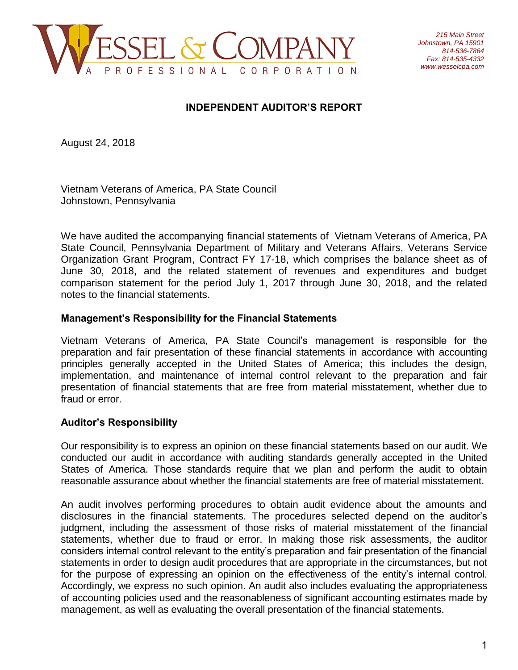

## **INDEPENDENT AUDITOR'S REPORT**

August 24, 2018

Vietnam Veterans of America, PA State Council Johnstown, Pennsylvania

We have audited the accompanying financial statements of Vietnam Veterans of America, PA State Council, Pennsylvania Department of Military and Veterans Affairs, Veterans Service Organization Grant Program, Contract FY 17-18, which comprises the balance sheet as of June 30, 2018, and the related statement of revenues and expenditures and budget comparison statement for the period July 1, 2017 through June 30, 2018, and the related notes to the financial statements.

#### **Management's Responsibility for the Financial Statements**

Vietnam Veterans of America, PA State Council's management is responsible for the preparation and fair presentation of these financial statements in accordance with accounting principles generally accepted in the United States of America; this includes the design, implementation, and maintenance of internal control relevant to the preparation and fair presentation of financial statements that are free from material misstatement, whether due to fraud or error.

## **Auditor's Responsibility**

Our responsibility is to express an opinion on these financial statements based on our audit. We conducted our audit in accordance with auditing standards generally accepted in the United States of America. Those standards require that we plan and perform the audit to obtain reasonable assurance about whether the financial statements are free of material misstatement.

An audit involves performing procedures to obtain audit evidence about the amounts and disclosures in the financial statements. The procedures selected depend on the auditor's judgment, including the assessment of those risks of material misstatement of the financial statements, whether due to fraud or error. In making those risk assessments, the auditor considers internal control relevant to the entity's preparation and fair presentation of the financial statements in order to design audit procedures that are appropriate in the circumstances, but not for the purpose of expressing an opinion on the effectiveness of the entity's internal control. Accordingly, we express no such opinion. An audit also includes evaluating the appropriateness of accounting policies used and the reasonableness of significant accounting estimates made by management, as well as evaluating the overall presentation of the financial statements.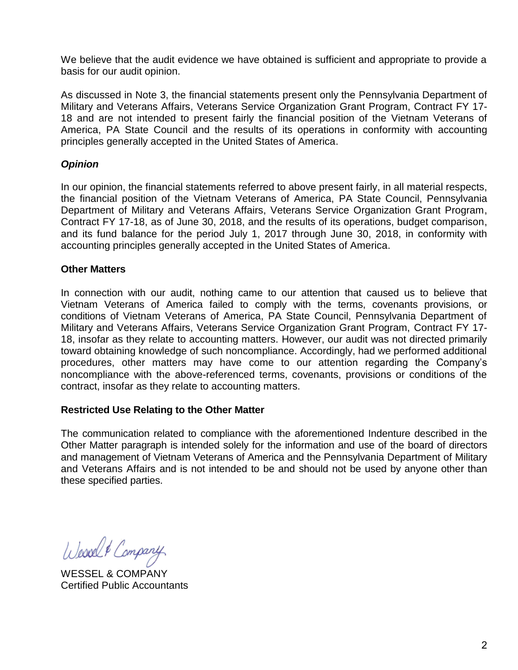We believe that the audit evidence we have obtained is sufficient and appropriate to provide a basis for our audit opinion.

As discussed in Note 3, the financial statements present only the Pennsylvania Department of Military and Veterans Affairs, Veterans Service Organization Grant Program, Contract FY 17- 18 and are not intended to present fairly the financial position of the Vietnam Veterans of America, PA State Council and the results of its operations in conformity with accounting principles generally accepted in the United States of America.

## *Opinion*

In our opinion, the financial statements referred to above present fairly, in all material respects, the financial position of the Vietnam Veterans of America, PA State Council, Pennsylvania Department of Military and Veterans Affairs, Veterans Service Organization Grant Program, Contract FY 17-18, as of June 30, 2018, and the results of its operations, budget comparison, and its fund balance for the period July 1, 2017 through June 30, 2018, in conformity with accounting principles generally accepted in the United States of America.

## **Other Matters**

In connection with our audit, nothing came to our attention that caused us to believe that Vietnam Veterans of America failed to comply with the terms, covenants provisions, or conditions of Vietnam Veterans of America, PA State Council, Pennsylvania Department of Military and Veterans Affairs, Veterans Service Organization Grant Program, Contract FY 17- 18, insofar as they relate to accounting matters. However, our audit was not directed primarily toward obtaining knowledge of such noncompliance. Accordingly, had we performed additional procedures, other matters may have come to our attention regarding the Company's noncompliance with the above-referenced terms, covenants, provisions or conditions of the contract, insofar as they relate to accounting matters.

## **Restricted Use Relating to the Other Matter**

The communication related to compliance with the aforementioned Indenture described in the Other Matter paragraph is intended solely for the information and use of the board of directors and management of Vietnam Veterans of America and the Pennsylvania Department of Military and Veterans Affairs and is not intended to be and should not be used by anyone other than these specified parties.

Wesselt Company

WESSEL & COMPANY Certified Public Accountants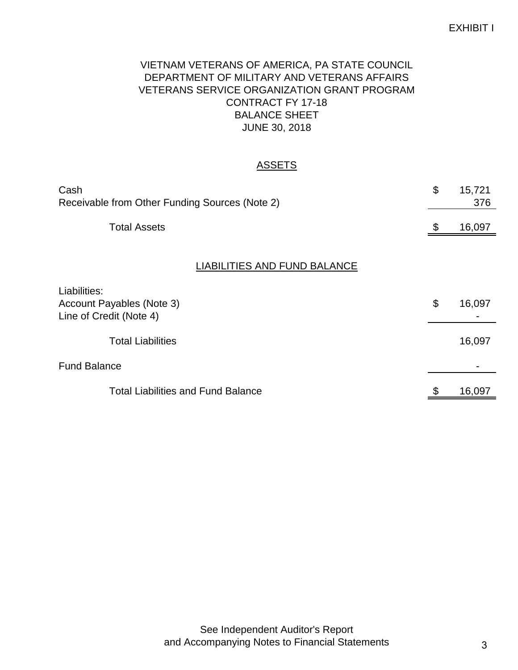# VIETNAM VETERANS OF AMERICA, PA STATE COUNCIL DEPARTMENT OF MILITARY AND VETERANS AFFAIRS VETERANS SERVICE ORGANIZATION GRANT PROGRAM CONTRACT FY 17-18 BALANCE SHEET JUNE 30, 2018

# **ASSETS**

| Cash<br>Receivable from Other Funding Sources (Note 2)               | \$                    | 15,721<br>376 |
|----------------------------------------------------------------------|-----------------------|---------------|
| <b>Total Assets</b>                                                  | \$                    | 16,097        |
| <b>LIABILITIES AND FUND BALANCE</b>                                  |                       |               |
| Liabilities:<br>Account Payables (Note 3)<br>Line of Credit (Note 4) | $\boldsymbol{\theta}$ | 16,097        |
| <b>Total Liabilities</b>                                             |                       | 16,097        |
| <b>Fund Balance</b>                                                  |                       |               |
| <b>Total Liabilities and Fund Balance</b>                            | \$                    | 16,097        |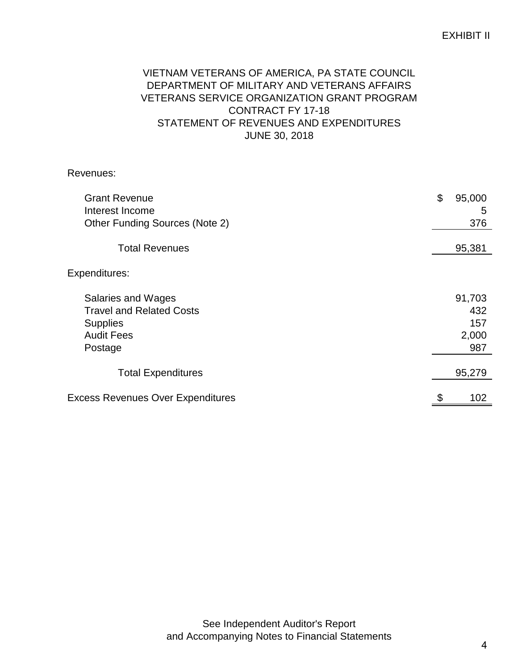# EXHIBIT II

# VIETNAM VETERANS OF AMERICA, PA STATE COUNCIL DEPARTMENT OF MILITARY AND VETERANS AFFAIRS VETERANS SERVICE ORGANIZATION GRANT PROGRAM CONTRACT FY 17-18 STATEMENT OF REVENUES AND EXPENDITURES JUNE 30, 2018

Revenues:

| <b>Grant Revenue</b><br>Interest Income<br>Other Funding Sources (Note 2)                                | \$<br>95,000<br>5<br>376             |
|----------------------------------------------------------------------------------------------------------|--------------------------------------|
| <b>Total Revenues</b>                                                                                    | 95,381                               |
| Expenditures:                                                                                            |                                      |
| Salaries and Wages<br><b>Travel and Related Costs</b><br><b>Supplies</b><br><b>Audit Fees</b><br>Postage | 91,703<br>432<br>157<br>2,000<br>987 |
| <b>Total Expenditures</b>                                                                                | 95,279                               |
| <b>Excess Revenues Over Expenditures</b>                                                                 | \$<br>102                            |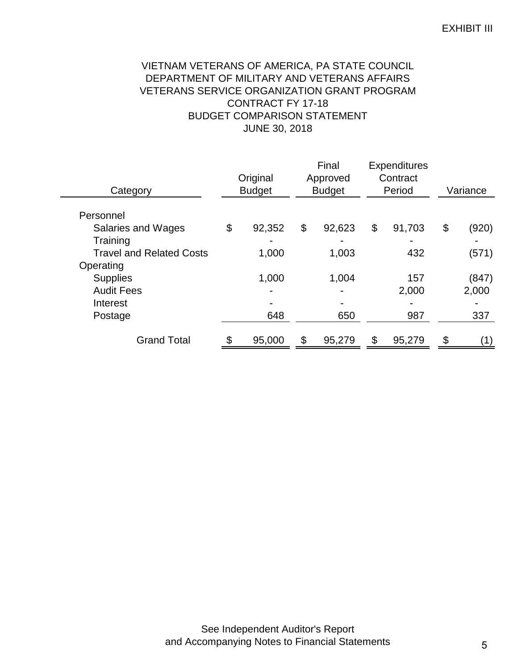## EXHIBIT III

# VIETNAM VETERANS OF AMERICA, PA STATE COUNCIL DEPARTMENT OF MILITARY AND VETERANS AFFAIRS VETERANS SERVICE ORGANIZATION GRANT PROGRAM CONTRACT FY 17-18 BUDGET COMPARISON STATEMENT JUNE 30, 2018

| Category                        | Original<br><b>Budget</b> |        | Final<br>Approved<br><b>Budget</b> | <b>Expenditures</b><br>Contract<br>Period | Variance    |
|---------------------------------|---------------------------|--------|------------------------------------|-------------------------------------------|-------------|
| Personnel                       |                           |        |                                    |                                           |             |
| Salaries and Wages              | \$                        | 92,352 | \$<br>92,623                       | \$<br>91,703                              | \$<br>(920) |
| Training                        |                           |        |                                    |                                           |             |
| <b>Travel and Related Costs</b> |                           | 1,000  | 1,003                              | 432                                       | (571)       |
| Operating                       |                           |        |                                    |                                           |             |
| <b>Supplies</b>                 |                           | 1,000  | 1,004                              | 157                                       | (847)       |
| <b>Audit Fees</b>               |                           |        |                                    | 2,000                                     | 2,000       |
| Interest                        |                           |        |                                    |                                           |             |
| Postage                         |                           | 648    | 650                                | 987                                       | 337         |
|                                 |                           |        |                                    |                                           |             |
| <b>Grand Total</b>              | \$                        | 95,000 | \$<br>95,279                       | \$<br>95,279                              | (1)         |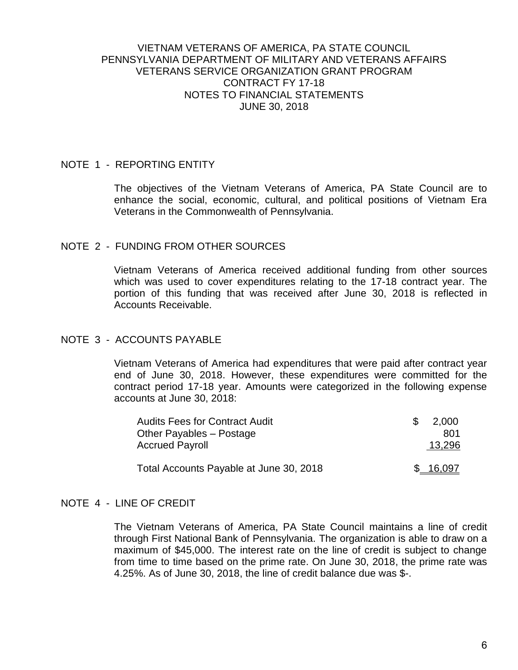#### VIETNAM VETERANS OF AMERICA, PA STATE COUNCIL PENNSYLVANIA DEPARTMENT OF MILITARY AND VETERANS AFFAIRS VETERANS SERVICE ORGANIZATION GRANT PROGRAM CONTRACT FY 17-18 NOTES TO FINANCIAL STATEMENTS JUNE 30, 2018

#### NOTE 1 - REPORTING ENTITY

The objectives of the Vietnam Veterans of America, PA State Council are to enhance the social, economic, cultural, and political positions of Vietnam Era Veterans in the Commonwealth of Pennsylvania.

#### NOTE 2 - FUNDING FROM OTHER SOURCES

Vietnam Veterans of America received additional funding from other sources which was used to cover expenditures relating to the 17-18 contract year. The portion of this funding that was received after June 30, 2018 is reflected in Accounts Receivable.

#### NOTE 3 - ACCOUNTS PAYABLE

Vietnam Veterans of America had expenditures that were paid after contract year end of June 30, 2018. However, these expenditures were committed for the contract period 17-18 year. Amounts were categorized in the following expense accounts at June 30, 2018:

| <b>Audits Fees for Contract Audit</b>   | 2.000  |
|-----------------------------------------|--------|
| Other Payables - Postage                | 801    |
| <b>Accrued Payroll</b>                  | 13,296 |
| Total Accounts Payable at June 30, 2018 | 16,097 |

#### NOTE 4 - LINE OF CREDIT

The Vietnam Veterans of America, PA State Council maintains a line of credit through First National Bank of Pennsylvania. The organization is able to draw on a maximum of \$45,000. The interest rate on the line of credit is subject to change from time to time based on the prime rate. On June 30, 2018, the prime rate was 4.25%. As of June 30, 2018, the line of credit balance due was \$-.